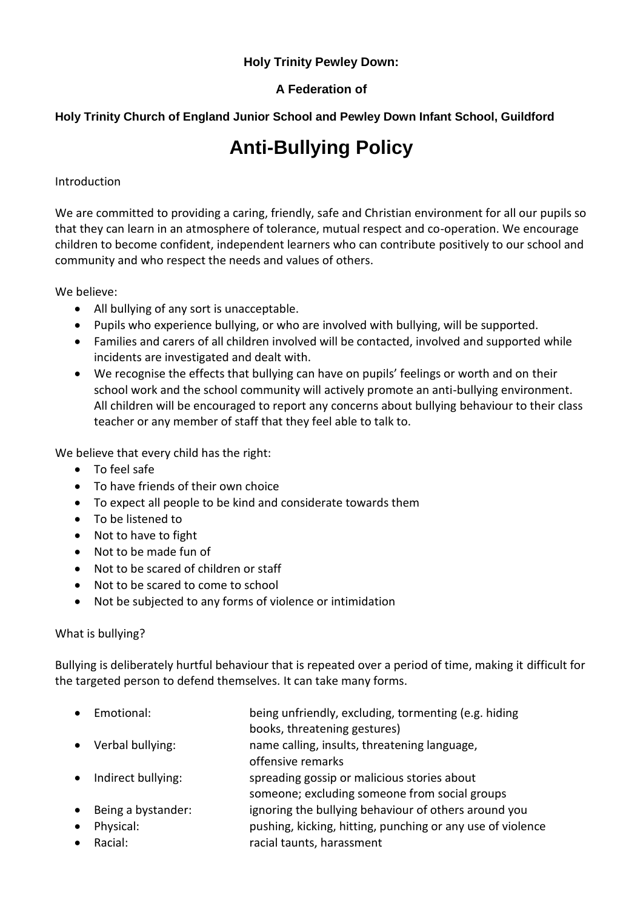## **Holy Trinity Pewley Down:**

## **A Federation of**

## **Holy Trinity Church of England Junior School and Pewley Down Infant School, Guildford**

# **Anti-Bullying Policy**

#### Introduction

We are committed to providing a caring, friendly, safe and Christian environment for all our pupils so that they can learn in an atmosphere of tolerance, mutual respect and co-operation. We encourage children to become confident, independent learners who can contribute positively to our school and community and who respect the needs and values of others.

We believe:

- All bullying of any sort is unacceptable.
- Pupils who experience bullying, or who are involved with bullying, will be supported.
- Families and carers of all children involved will be contacted, involved and supported while incidents are investigated and dealt with.
- We recognise the effects that bullying can have on pupils' feelings or worth and on their school work and the school community will actively promote an anti-bullying environment. All children will be encouraged to report any concerns about bullying behaviour to their class teacher or any member of staff that they feel able to talk to.

We believe that every child has the right:

- To feel safe
- To have friends of their own choice
- To expect all people to be kind and considerate towards them
- To be listened to
- Not to have to fight
- Not to be made fun of
- Not to be scared of children or staff
- Not to be scared to come to school
- Not be subjected to any forms of violence or intimidation

#### What is bullying?

Bullying is deliberately hurtful behaviour that is repeated over a period of time, making it difficult for the targeted person to defend themselves. It can take many forms.

- Emotional: being unfriendly, excluding, tormenting (e.g. hiding books, threatening gestures)
- Verbal bullying: name calling, insults, threatening language,
- offensive remarks
- Indirect bullying: spreading gossip or malicious stories about
	- someone; excluding someone from social groups
- Being a bystander: ignoring the bullying behaviour of others around you
- Physical: pushing, kicking, hitting, punching or any use of violence
	- Racial: racial taunts, harassment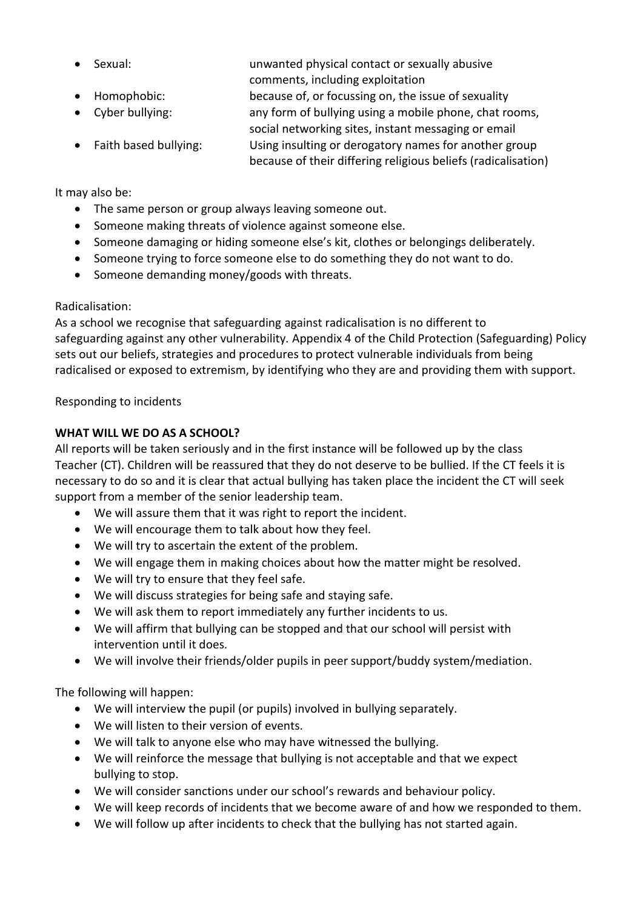- Sexual: unwanted physical contact or sexually abusive
- 
- comments, including exploitation
- Homophobic: because of, or focussing on, the issue of sexuality
- Cyber bullying: any form of bullying using a mobile phone, chat rooms,
- social networking sites, instant messaging or email • Faith based bullying: Using insulting or derogatory names for another group because of their differing religious beliefs (radicalisation)

It may also be:

- The same person or group always leaving someone out.
- Someone making threats of violence against someone else.
- Someone damaging or hiding someone else's kit, clothes or belongings deliberately.
- Someone trying to force someone else to do something they do not want to do.
- Someone demanding money/goods with threats.

## Radicalisation:

As a school we recognise that safeguarding against radicalisation is no different to safeguarding against any other vulnerability*.* Appendix 4 of the Child Protection (Safeguarding) Policy sets out our beliefs, strategies and procedures to protect vulnerable individuals from being radicalised or exposed to extremism, by identifying who they are and providing them with support.

Responding to incidents

# **WHAT WILL WE DO AS A SCHOOL?**

All reports will be taken seriously and in the first instance will be followed up by the class Teacher (CT). Children will be reassured that they do not deserve to be bullied. If the CT feels it is necessary to do so and it is clear that actual bullying has taken place the incident the CT will seek support from a member of the senior leadership team.

- We will assure them that it was right to report the incident.
- We will encourage them to talk about how they feel.
- We will try to ascertain the extent of the problem.
- We will engage them in making choices about how the matter might be resolved.
- We will try to ensure that they feel safe.
- We will discuss strategies for being safe and staying safe.
- We will ask them to report immediately any further incidents to us.
- We will affirm that bullying can be stopped and that our school will persist with intervention until it does.
- We will involve their friends/older pupils in peer support/buddy system/mediation.

The following will happen:

- We will interview the pupil (or pupils) involved in bullying separately.
- We will listen to their version of events.
- We will talk to anyone else who may have witnessed the bullying.
- We will reinforce the message that bullying is not acceptable and that we expect bullying to stop.
- We will consider sanctions under our school's rewards and behaviour policy.
- We will keep records of incidents that we become aware of and how we responded to them.
- We will follow up after incidents to check that the bullying has not started again.